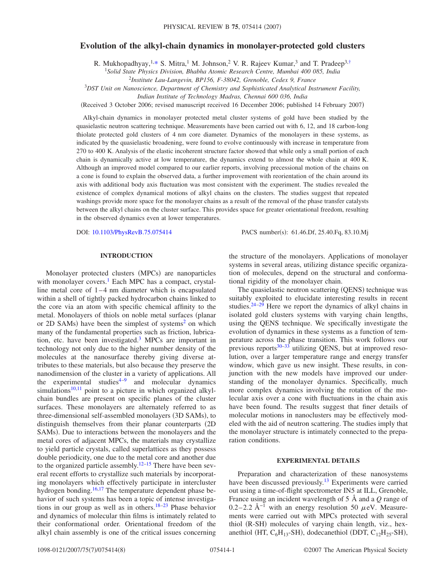# **Evolution of the alkyl-chain dynamics in monolayer-protected gold clusters**

R. Mukhopadhyay,<sup>1[,\\*](#page-6-0)</sup> S. Mitra,<sup>1</sup> M. Johnson,<sup>2</sup> V. R. Rajeev Kumar,<sup>3</sup> and T. Pradeep<sup>3[,†](#page-6-1)</sup>

1 *Solid State Physics Division, Bhabha Atomic Research Centre, Mumbai 400 085, India*

<sup>2</sup>*Institute Lau-Langevin, BP156, F-38042, Grenoble, Cedex 9, France*

3 *DST Unit on Nanoscience, Department of Chemistry and Sophisticated Analytical Instrument Facility,*

*Indian Institute of Technology Madras, Chennai 600 036, India*

(Received 3 October 2006; revised manuscript received 16 December 2006; published 14 February 2007)

Alkyl-chain dynamics in monolayer protected metal cluster systems of gold have been studied by the quasielastic neutron scattering technique. Measurements have been carried out with 6, 12, and 18 carbon-long thiolate protected gold clusters of 4 nm core diameter. Dynamics of the monolayers in these systems, as indicated by the quasielastic broadening, were found to evolve continuously with increase in temperature from 270 to 400 K. Analysis of the elastic incoherent structure factor showed that while only a small portion of each chain is dynamically active at low temperature, the dynamics extend to almost the whole chain at 400 K. Although an improved model compared to our earlier reports, involving precessional motion of the chains on a cone is found to explain the observed data, a further improvement with reorientation of the chain around its axis with additional body axis fluctuation was most consistent with the experiment. The studies revealed the existence of complex dynamical motions of alkyl chains on the clusters. The studies suggest that repeated washings provide more space for the monolayer chains as a result of the removal of the phase transfer catalysts between the alkyl chains on the cluster surface. This provides space for greater orientational freedom, resulting in the observed dynamics even at lower temperatures.

DOI: [10.1103/PhysRevB.75.075414](http://dx.doi.org/10.1103/PhysRevB.75.075414)

PACS number(s): 61.46.Df, 25.40.Fq, 83.10.Mj

## **INTRODUCTION**

Monolayer protected clusters (MPCs) are nanoparticles with monolayer covers.<sup>1</sup> Each MPC has a compact, crystalline metal core of 1–4 nm diameter which is encapsulated within a shell of tightly packed hydrocarbon chains linked to the core via an atom with specific chemical affinity to the metal. Monolayers of thiols on noble metal surfaces (planar or 2D SAMs) have been the simplest of systems<sup>2</sup> on which many of the fundamental properties such as friction, lubrication, etc. have been investigated[.3](#page-6-4) MPCs are important in technology not only due to the higher number density of the molecules at the nanosurface thereby giving diverse attributes to these materials, but also because they preserve the nanodimension of the cluster in a variety of applications. All the experimental studies<sup>4[–9](#page-6-6)</sup> and molecular dynamics simulations $10,11$  $10,11$  point to a picture in which organized alkylchain bundles are present on specific planes of the cluster surfaces. These monolayers are alternately referred to as three-dimensional self-assembled monolayers (3D SAMs), to distinguish themselves from their planar counterparts (2D SAMs). Due to interactions between the monolayers and the metal cores of adjacent MPCs, the materials may crystallize to yield particle crystals, called superlattices as they possess double periodicity, one due to the metal core and another due to the organized particle assembly.<sup>12[–15](#page-6-10)</sup> There have been several recent efforts to crystallize such materials by incorporating monolayers which effectively participate in intercluster hydrogen bonding.<sup>16,[17](#page-7-0)</sup> The temperature dependent phase behavior of such systems has been a topic of intense investiga-tions in our group as well as in others.<sup>18[–23](#page-7-2)</sup> Phase behavior and dynamics of molecular thin films is intimately related to their conformational order. Orientational freedom of the alkyl chain assembly is one of the critical issues concerning the structure of the monolayers. Applications of monolayer systems in several areas, utilizing distance specific organization of molecules, depend on the structural and conformational rigidity of the monolayer chain.

The quasielastic neutron scattering (QENS) technique was suitably exploited to elucidate interesting results in recent studies. $24-29$  $24-29$  Here we report the dynamics of alkyl chains in isolated gold clusters systems with varying chain lengths, using the QENS technique. We specifically investigate the evolution of dynamics in these systems as a function of temperature across the phase transition. This work follows our previous reports<sup>30-[33](#page-7-6)</sup> utilizing QENS, but at improved resolution, over a larger temperature range and energy transfer window, which gave us new insight. These results, in conjunction with the new models have improved our understanding of the monolayer dynamics. Specifically, much more complex dynamics involving the rotation of the molecular axis over a cone with fluctuations in the chain axis have been found. The results suggest that finer details of molecular motions in nanoclusters may be effectively modeled with the aid of neutron scattering. The studies imply that the monolayer structure is intimately connected to the preparation conditions.

## **EXPERIMENTAL DETAILS**

Preparation and characterization of these nanosystems have been discussed previously.<sup>13</sup> Experiments were carried out using a time-of-flight spectrometer IN5 at ILL, Grenoble, France using an incident wavelength of 5 Å and a *Q* range of 0.2–2.2 Å<sup>-1</sup> with an energy resolution 50  $\mu$ eV. Measurements were carried out with MPCs protected with several thiol (R-SH) molecules of varying chain length, viz., hexanethiol (HT,  $C_6H_{13}$ -SH), dodecanethiol (DDT,  $C_{12}H_{25}$ -SH),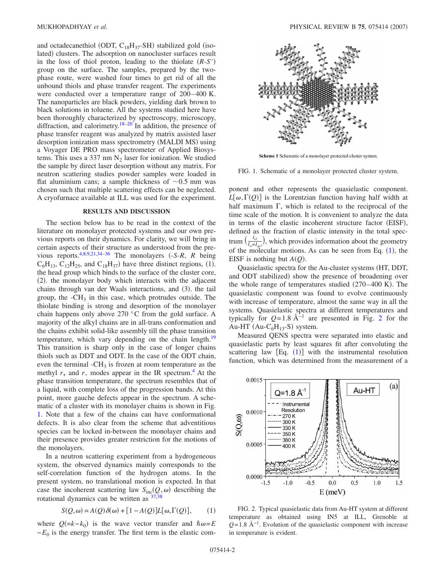and octadecanethiol (ODT,  $C_{18}H_{37}$ -SH) stabilized gold (isolated) clusters. The adsorption on nanocluster surfaces result in the loss of thiol proton, leading to the thiolate  $(R-S^-)$ group on the surface. The samples, prepared by the twophase route, were washed four times to get rid of all the unbound thiols and phase transfer reagent. The experiments were conducted over a temperature range of 200–400 K. The nanoparticles are black powders, yielding dark brown to black solutions in toluene. All the systems studied here have been thoroughly characterized by spectroscopy, microscopy, diffraction, and calorimetry.<sup>18[–20](#page-7-7)</sup> In addition, the presence of phase transfer reagent was analyzed by matrix assisted laser desorption ionization mass spectrometry (MALDI MS) using a Voyager DE PRO mass spectrometer of Applied Biosystems. This uses a 337 nm  $N_2$  laser for ionization. We studied the sample by direct laser desorption without any matrix. For neutron scattering studies powder samples were loaded in flat aluminium cans; a sample thickness of  $\sim 0.5$  mm was chosen such that multiple scattering effects can be neglected. A cryofurnace available at ILL was used for the experiment.

### **RESULTS AND DISCUSSION**

The section below has to be read in the context of the literature on monolayer protected systems and our own previous reports on their dynamics. For clarity, we will bring in certain aspects of their structure as understood from the pre-vious reports.<sup>4[,8](#page-6-13)[,9,](#page-6-6)[21](#page-7-8)[,34](#page-7-9)-36</sup> The monolayers  $(-S-R, R)$  being  $C_6H_{13}$ ,  $C_{12}H_{25}$ , and  $C_{18}H_{37}$ ) have three distinct regions, (1). the head group which binds to the surface of the cluster core, (2). the monolayer body which interacts with the adjacent chains through van der Waals interactions, and (3). the tail group, the  $\text{-CH}_3$  in this case, which protrudes outside. The thiolate binding is strong and desorption of the monolayer chain happens only above 270 °C from the gold surface. A majority of the alkyl chains are in all-trans conformation and the chains exhibit solid-like assembly till the phase transition temperature, which vary depending on the chain length.<sup>19</sup> This transition is sharp only in the case of longer chains thiols such as DDT and ODT. In the case of the ODT chain, even the terminal  $-CH_3$  is frozen at room temperature as the methyl  $r_+$  and  $r_-$  modes appear in the IR spectrum.<sup>4</sup> At the phase transition temperature, the spectrum resembles that of a liquid, with complete loss of the progression bands. At this point, more gauche defects appear in the spectrum. A schematic of a cluster with its monolayer chains is shown in Fig. [1.](#page-1-0) Note that a few of the chains can have conformational defects. It is also clear from the scheme that adventitious species can be locked in-between the monolayer chains and their presence provides greater restriction for the motions of the monolayers.

In a neutron scattering experiment from a hydrogeneous system, the observed dynamics mainly corresponds to the self-correlation function of the hydrogen atoms. In the present system, no translational motion is expected. In that case the incoherent scattering law  $S_{\text{inc}}(Q, \omega)$  describing the rotational dynamics can be written as  $37,38$  $37,38$ 

$$
S(Q,\omega) = A(Q)\delta(\omega) + [1 - A(Q)]L[\omega,\Gamma(Q)], \qquad (1)
$$

<span id="page-1-1"></span>where  $Q(=k-k_0)$  is the wave vector transfer and  $\hbar \omega = E$  $-E_0$  is the energy transfer. The first term is the elastic com-

<span id="page-1-0"></span>

Scheme 1 Schematic of a monolayer protected cluster system.

FIG. 1. Schematic of a monolayer protected cluster system.

ponent and other represents the quasielastic component.  $L[\omega, \Gamma(Q)]$  is the Lorentzian function having half width at half maximum  $\Gamma$ , which is related to the reciprocal of the time scale of the motion. It is convenient to analyze the data in terms of the elastic incoherent structure factor (EISF), defined as the fraction of elastic intensity in the total spectrum  $\left(\frac{I_{el}}{I_{el}+I_{gel}}\right)$ , which provides information about the geometry of the molecular motions. As can be seen from Eq.  $(1)$  $(1)$  $(1)$ , the EISF is nothing but  $A(Q)$ .

Quasielastic spectra for the Au-cluster systems (HT, DDT, and ODT stabilized) show the presence of broadening over the whole range of temperatures studied  $(270-400 \text{ K})$ . The quasielastic component was found to evolve continuously with increase of temperature, almost the same way in all the systems. Quasielastic spectra at different temperatures and typically for  $Q=1.8 \text{ Å}^{-1}$  are presented in Fig. [2](#page-1-2) for the Au-HT  $(Au-C<sub>6</sub>H<sub>13</sub>-S)$  system.

Measured QENS spectra were separated into elastic and quasielastic parts by least squares fit after convoluting the scattering law  $[Eq. (1)]$  $[Eq. (1)]$  $[Eq. (1)]$  with the instrumental resolution function, which was determined from the measurement of a

<span id="page-1-2"></span>

FIG. 2. Typical quasielastic data from Au-HT system at different temperature as obtained using IN5 at ILL, Grenoble at  $Q=1.8$  Å<sup>-1</sup>. Evolution of the quasielastic component with increase in temperature is evident.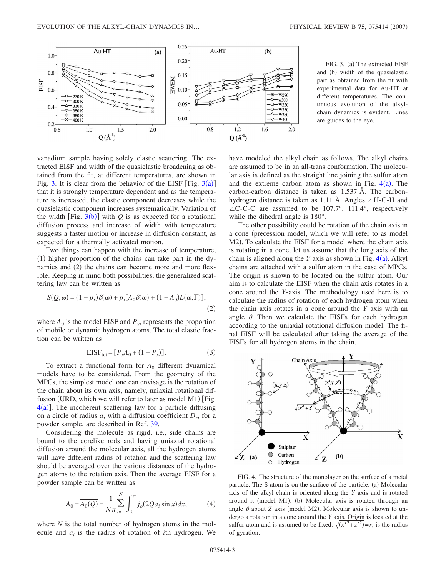<span id="page-2-0"></span>

FIG. 3. (a) The extracted EISF and (b) width of the quasielastic part as obtained from the fit with experimental data for Au-HT at different temperatures. The continuous evolution of the alkylchain dynamics is evident. Lines are guides to the eye.

vanadium sample having solely elastic scattering. The extracted EISF and width of the quasielastic broadening as obtained from the fit, at different temperatures, are shown in Fig. [3.](#page-2-0) It is clear from the behavior of the EISF  $[Fig. 3(a)]$  $[Fig. 3(a)]$  $[Fig. 3(a)]$ that it is strongly temperature dependent and as the temperature is increased, the elastic component decreases while the quasielastic component increases systematically. Variation of the width [Fig.  $3(b)$  $3(b)$  $3(b)$ ] with *Q* is as expected for a rotational diffusion process and increase of width with temperature suggests a faster motion or increase in diffusion constant, as expected for a thermally activated motion.

Two things can happen with the increase of temperature, (1) higher proportion of the chains can take part in the dynamics and (2) the chains can become more and more flexible. Keeping in mind both possibilities, the generalized scattering law can be written as

$$
S(Q,\omega) = (1 - p_x)\delta(\omega) + p_x[A_0\delta(\omega) + (1 - A_0)L(\omega,\Gamma)],
$$
\n(2)

where  $A_0$  is the model EISF and  $P_x$ , represents the proportion of mobile or dynamic hydrogen atoms. The total elastic fraction can be written as

$$
EISF_{\text{tot}} = [P_x A_0 + (1 - P_x)].
$$
 (3)

<span id="page-2-2"></span>To extract a functional form for  $A_0$  different dynamical models have to be considered. From the geometry of the MPCs, the simplest model one can envisage is the rotation of the chain about its own axis, namely, uniaxial rotational diffusion (URD, which we will refer to later as model M1) [Fig.  $4(a)$  $4(a)$ ]. The incoherent scattering law for a particle diffusing on a circle of radius  $a$ , with a diffusion coefficient  $D_r$ , for a powder sample, are described in Ref. [39.](#page-7-14)

Considering the molecule as rigid, i.e., side chains are bound to the corelike rods and having uniaxial rotational diffusion around the molecular axis, all the hydrogen atoms will have different radius of rotation and the scattering law should be averaged over the various distances of the hydrogen atoms to the rotation axis. Then the average EISF for a powder sample can be written as

$$
A_0 = \overline{A_0(Q)} = \frac{1}{N\pi} \sum_{i=1}^{N} \int_0^{\pi} j_o(2Qa_i \sin x) dx, \tag{4}
$$

where *N* is the total number of hydrogen atoms in the molecule and *ai* is the radius of rotation of *i*th hydrogen. We have modeled the alkyl chain as follows. The alkyl chains are assumed to be in an all-trans conformation. The molecular axis is defined as the straight line joining the sulfur atom and the extreme carbon atom as shown in Fig.  $4(a)$  $4(a)$ . The carbon-carbon distance is taken as 1.537 Å. The carbonhydrogen distance is taken as 1.11 Å. Angles  $\angle H$ -C-H and  $\angle$ C-C-C are assumed to be 107.7°, 111.4°, respectively while the dihedral angle is 180°.

The other possibility could be rotation of the chain axis in a cone (precession model, which we will refer to as model M2). To calculate the EISF for a model where the chain axis is rotating in a cone, let us assume that the long axis of the chain is aligned along the  $Y$  axis as shown in Fig.  $4(a)$  $4(a)$ . Alkyl chains are attached with a sulfur atom in the case of MPCs. The origin is shown to be located on the sulfur atom. Our aim is to calculate the EISF when the chain axis rotates in a cone around the *Y*-axis. The methodology used here is to calculate the radius of rotation of each hydrogen atom when the chain axis rotates in a cone around the *Y* axis with an angle  $\theta$ . Then we calculate the EISFs for each hydrogen according to the uniaxial rotational diffusion model. The final EISF will be calculated after taking the average of the EISFs for all hydrogen atoms in the chain.

<span id="page-2-1"></span>

FIG. 4. The structure of the monolayer on the surface of a metal particle. The S atom is on the surface of the particle. (a) Molecular axis of the alkyl chain is oriented along the *Y* axis and is rotated around it (model M1). (b) Molecular axis is rotated through an angle  $\theta$  about *Z* axis (model M2). Molecular axis is shown to undergo a rotation in a cone around the *Y* axis. Origin is located at the sulfur atom and is assumed to be fixed.  $\sqrt{(x'^2 + z'^2)} = r$ , is the radius of gyration.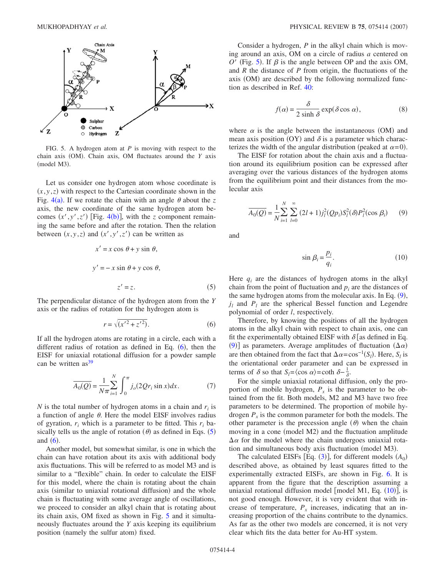<span id="page-3-2"></span>

FIG. 5. A hydrogen atom at *P* is moving with respect to the chain axis OM-. Chain axis, OM fluctuates around the *Y* axis (model M3).

Let us consider one hydrogen atom whose coordinate is  $(x, y, z)$  with respect to the Cartesian coordinate shown in the Fig.  $4(a)$  $4(a)$ . If we rotate the chain with an angle  $\theta$  about the *z* axis, the new coordinate of the same hydrogen atom becomes  $(x', y', z')$  [Fig. [4](#page-2-1)(b)], with the *z* component remaining the same before and after the rotation. Then the relation between  $(x, y, z)$  and  $(x', y', z')$  can be written as

$$
x' = x \cos \theta + y \sin \theta,
$$
  

$$
y' = -x \sin \theta + y \cos \theta,
$$
  

$$
z' = z.
$$
 (5)

<span id="page-3-1"></span>The perpendicular distance of the hydrogen atom from the *Y* axis or the radius of rotation for the hydrogen atom is

$$
r = \sqrt{(x'^2 + z'^2)}.
$$
 (6)

<span id="page-3-0"></span>If all the hydrogen atoms are rotating in a circle, each with a different radius of rotation as defined in Eq.  $(6)$  $(6)$  $(6)$ , then the EISF for uniaxial rotational diffusion for a powder sample can be written  $as^{39}$ 

$$
\overline{A_0(Q)} = \frac{1}{N\pi} \sum_{i=1}^{N} \int_0^{\pi} j_o(2Qr_i \sin x) dx.
$$
 (7)

*N* is the total number of hydrogen atoms in a chain and  $r_i$  is a function of angle  $\theta$ . Here the model EISF involves radius of gyration,  $r_i$  which is a parameter to be fitted. This  $r_i$  basically tells us the angle of rotation  $(\theta)$  as defined in Eqs. ([5](#page-3-1)) and  $(6)$  $(6)$  $(6)$ .

Another model, but somewhat similar, is one in which the chain can have rotation about its axis with additional body axis fluctuations. This will be referred to as model M3 and is similar to a "flexible" chain. In order to calculate the EISF for this model, where the chain is rotating about the chain axis (similar to uniaxial rotational diffusion) and the whole chain is fluctuating with some average angle of oscillations, we proceed to consider an alkyl chain that is rotating about its chain axis, OM fixed as shown in Fig. [5](#page-3-2) and it simultaneously fluctuates around the *Y* axis keeping its equilibrium position (namely the sulfur atom) fixed.

Consider a hydrogen, *P* in the alkyl chain which is moving around an axis, OM on a circle of radius *a* centered on  $O'$  (Fig. [5](#page-3-2)). If  $\beta$  is the angle between OP and the axis OM, and *R* the distance of *P* from origin, the fluctuations of the axis (OM) are described by the following normalized function as described in Ref. [40:](#page-7-15)

$$
f(\alpha) = \frac{\delta}{2 \sinh \delta} \exp(\delta \cos \alpha), \tag{8}
$$

where  $\alpha$  is the angle between the instantaneous (OM) and mean axis position (OY) and  $\delta$  is a parameter which characterizes the width of the angular distribution (peaked at  $\alpha = 0$ ).

The EISF for rotation about the chain axis and a fluctuation around its equilibrium position can be expressed after averaging over the various distances of the hydrogen atoms from the equilibrium point and their distances from the molecular axis

<span id="page-3-3"></span>
$$
\overline{A_0(Q)} = \frac{1}{N} \sum_{i=1}^{N} \sum_{l=0}^{\infty} (2l+1) j_l^2(Qp_i) S_l^2(\delta) P_l^2(\cos \beta_i)
$$
(9)

<span id="page-3-4"></span>and

$$
\sin \beta_i = \frac{p_i}{q_i}.\tag{10}
$$

Here  $q_i$  are the distances of hydrogen atoms in the alkyl chain from the point of fluctuation and  $p_i$  are the distances of the same hydrogen atoms from the molecular axis. In Eq. ([9](#page-3-3)),  $j_l$  and  $P_l$  are the spherical Bessel function and Legendre polynomial of order *l*, respectively.

Therefore, by knowing the positions of all the hydrogen atoms in the alkyl chain with respect to chain axis, one can fit the experimentally obtained EISF with  $\delta$  [as defined in Eq. ([9](#page-3-3))] as parameters. Average amplitudes of fluctuation  $(\Delta \alpha)$ are then obtained from the fact that  $\Delta \alpha = \cos^{-1}(S_l)$ . Here,  $S_l$  is the orientational order parameter and can be expressed in terms of  $\delta$  so that  $S_l = \langle \cos \alpha \rangle = \coth \delta - \frac{1}{\delta}$ .

For the simple uniaxial rotational diffusion, only the proportion of mobile hydrogen,  $P<sub>x</sub>$  is the parameter to be obtained from the fit. Both models, M2 and M3 have two free parameters to be determined. The proportion of mobile hydrogen  $P<sub>x</sub>$  is the common parameter for both the models. The other parameter is the precession angle  $(\theta)$  when the chain moving in a cone (model M2) and the fluctuation amplitude  $\Delta \alpha$  for the model where the chain undergoes uniaxial rotation and simultaneous body axis fluctuation (model M3).

The calculated EISFs [Eq.  $(3)$  $(3)$  $(3)$ ], for different models  $(A_0)$ described above, as obtained by least squares fitted to the experimentally extracted EISFs, are shown in Fig. [6.](#page-4-0) It is apparent from the figure that the description assuming a uniaxial rotational diffusion model [model M1, Eq. ([10](#page-3-4))], is not good enough. However, it is very evident that with increase of temperature,  $P_x$  increases, indicating that an increasing proportion of the chains contribute to the dynamics. As far as the other two models are concerned, it is not very clear which fits the data better for Au-HT system.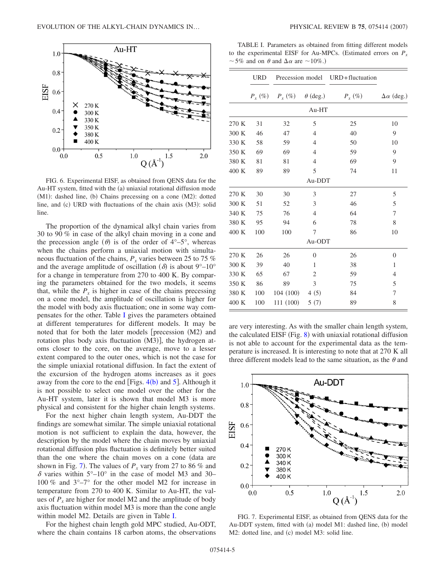<span id="page-4-0"></span>

FIG. 6. Experimental EISF, as obtained from QENS data for the Au-HT system, fitted with the (a) uniaxial rotational diffusion mode (M1): dashed line, (b) Chains precessing on a cone (M2): dotted line, and (c) URD with fluctuations of the chain axis (M3): solid line.

The proportion of the dynamical alkyl chain varies from 30 to 90 % in case of the alkyl chain moving in a cone and the precession angle  $(\theta)$  is of the order of  $4^{\circ}-5^{\circ}$ , whereas when the chains perform a uniaxial motion with simultaneous fluctuation of the chains,  $P_x$  varies between 25 to 75 % and the average amplitude of oscillation ( $\delta$ ) is about 9°–10° for a change in temperature from 270 to 400 K. By comparing the parameters obtained for the two models, it seems that, while the  $P_x$  is higher in case of the chains precessing on a cone model, the amplitude of oscillation is higher for the model with body axis fluctuation; one in some way compensates for the other. Table [I](#page-4-1) gives the parameters obtained at different temperatures for different models. It may be noted that for both the later models [precession (M2) and rotation plus body axis fluctuation (M3)], the hydrogen atoms closer to the core, on the average, move to a lesser extent compared to the outer ones, which is not the case for the simple uniaxial rotational diffusion. In fact the extent of the excursion of the hydrogen atoms increases as it goes away from the core to the end [Figs.  $4(b)$  $4(b)$  and  $5$ ]. Although it is not possible to select one model over the other for the Au-HT system, later it is shown that model M3 is more physical and consistent for the higher chain length systems.

For the next higher chain length system, Au-DDT the findings are somewhat similar. The simple uniaxial rotational motion is not sufficient to explain the data, however, the description by the model where the chain moves by uniaxial rotational diffusion plus fluctuation is definitely better suited than the one where the chain moves on a cone (data are shown in Fig. [7](#page-4-2)). The values of  $P_x$  vary from 27 to 86 % and  $\delta$  varies within 5°–10° in the case of model M3 and 30– 100 % and 3°–7° for the other model M2 for increase in temperature from 270 to 400 K. Similar to Au-HT, the values of  $P<sub>x</sub>$  are higher for model M2 and the amplitude of body axis fluctuation within model M3 is more than the cone angle within model M2. Details are given in Table [I.](#page-4-1)

For the highest chain length gold MPC studied, Au-ODT, where the chain contains 18 carbon atoms, the observations

<span id="page-4-1"></span>TABLE I. Parameters as obtained from fitting different models to the experimental EISF for Au-MPCs. (Estimated errors on  $P<sub>x</sub>$  $\sim$  5% and on  $\theta$  and  $\Delta \alpha$  are  $\sim$ 10%.)

|       | <b>URD</b> |                                     |                | Precession model URD+fluctuation |                        |
|-------|------------|-------------------------------------|----------------|----------------------------------|------------------------|
|       |            | $P_x(\%)$ $P_x(\%)$ $\theta$ (deg.) |                | $P_{\chi}(\%)$                   | $\Delta \alpha$ (deg.) |
|       |            |                                     | Au-HT          |                                  |                        |
| 270 K | 31         | 32                                  | 5              | 25                               | 10                     |
| 300 K | 46         | 47                                  | $\overline{4}$ | 40                               | 9                      |
| 330 K | 58         | 59                                  | $\overline{4}$ | 50                               | 10                     |
| 350 K | 69         | 69                                  | $\overline{4}$ | 59                               | 9                      |
| 380 K | 81         | 81                                  | $\overline{4}$ | 69                               | 9                      |
| 400 K | 89         | 89                                  | 5              | 74                               | 11                     |
|       |            |                                     | Au-DDT         |                                  |                        |
| 270 K | 30         | 30                                  | 3              | 27                               | 5                      |
| 300 K | 51         | 52                                  | 3              | 46                               | 5                      |
| 340 K | 75         | 76                                  | $\overline{4}$ | 64                               | 7                      |
| 380 K | 95         | 94                                  | 6              | 78                               | 8                      |
| 400 K | 100        | 100                                 | 7              | 86                               | 10                     |
|       |            |                                     | Au-ODT         |                                  |                        |
| 270 K | 26         | 26                                  | $\overline{0}$ | 26                               | $\boldsymbol{0}$       |
| 300 K | 39         | 40                                  | 1              | 38                               | 1                      |
| 330 K | 65         | 67                                  | $\overline{2}$ | 59                               | $\overline{4}$         |
| 350 K | 86         | 89                                  | 3              | 75                               | 5                      |
| 380 K | 100        | $104(100)$ 4(5)                     |                | 84                               | 7                      |
| 400 K | 100        | 111(100) 5(7)                       |                | 89                               | 8                      |

are very interesting. As with the smaller chain length system, the calculated EISF (Fig. [8](#page-5-0)) with uniaxial rotational diffusion is not able to account for the experimental data as the temperature is increased. It is interesting to note that at 270 K all three different models lead to the same situation, as the  $\theta$  and

<span id="page-4-2"></span>

FIG. 7. Experimental EISF, as obtained from QENS data for the Au-DDT system, fitted with (a) model M1: dashed line, (b) model M2: dotted line, and (c) model M3: solid line.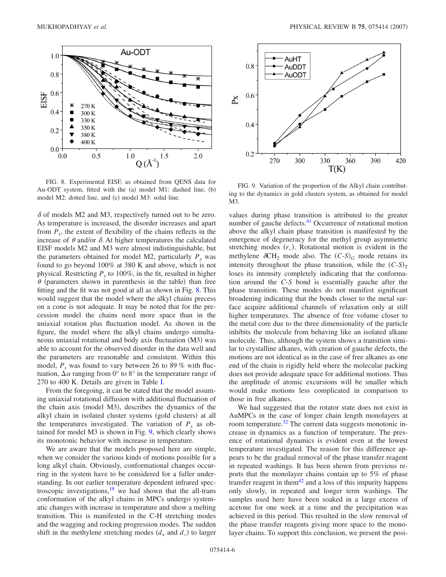<span id="page-5-0"></span>

FIG. 8. Experimental EISF, as obtained from QENS data for Au-ODT system, fitted with the (a) model M1: dashed line, (b) model M2: dotted line, and (c) model M3: solid line.

 $\delta$  of models M2 and M3, respectively turned out to be zero. As temperature is increased, the disorder increases and apart from  $P_x$ , the extent of flexibility of the chains reflects in the increase of  $\theta$  and/or  $\delta$ . At higher temperatures the calculated EISF models M2 and M3 were almost indistinguishable, but the parameters obtained for model M2, particularly  $P_r$  was found to go beyond 100% at 380 K and above, which is not physical. Restricting  $P<sub>x</sub>$  to 100%, in the fit, resulted in higher  $\theta$  (parameters shown in parenthesis in the table) than free fitting and the fit was not good at all as shown in Fig. [8.](#page-5-0) This would suggest that the model where the alkyl chains precess on a cone is not adequate. It may be noted that for the precession model the chains need more space than in the uniaxial rotation plus fluctuation model. As shown in the figure, the model where the alkyl chains undergo simultaneous uniaxial rotational and body axis fluctuation (M3) was able to account for the observed disorder in the data well and the parameters are reasonable and consistent. Within this model,  $P<sub>x</sub>$  was found to vary between 26 to 89 % with fluctuation,  $\Delta \alpha$  ranging from 0° to 8° in the temperature range of 270 to 400 K. Details are given in Table [I.](#page-4-1)

From the foregoing, it can be stated that the model assuming uniaxial rotational diffusion with additional fluctuation of the chain axis (model M3), describes the dynamics of the alkyl chain in isolated cluster systems (gold clusters) at all the temperatures investigated. The variation of  $P_x$  as obtained for model M3 is shown in Fig. [9,](#page-5-1) which clearly shows its monotonic behavior with increase in temperature.

We are aware that the models proposed here are simple, when we consider the various kinds of motions possible for a long alkyl chain. Obviously, conformational changes occurring in the system have to be considered for a fuller understanding. In our earlier temperature dependent infrared spectroscopic investigations, <sup>19</sup> we had shown that the all-trans conformation of the alkyl chains in MPCs undergo systematic changes with increase in temperature and show a melting transition. This is manifested in the C-H stretching modes and the wagging and rocking progression modes. The sudden shift in the methylene stretching modes  $(d_+$  and  $d_-$ ) to larger

<span id="page-5-1"></span>

FIG. 9. Variation of the proportion of the Alkyl chain contributing to the dynamics in gold clusters system, as obtained for model M3.

values during phase transition is attributed to the greater number of gauche defects.<sup>41</sup> Occurrence of rotational motion above the alkyl chain phase transition is manifested by the emergence of degeneracy for the methyl group asymmetric stretching modes (r<sub>−</sub>). Rotational motion is evident in the methylene  $\delta CH_2$  mode also. The  $(C-S)_G$  mode retains its intensity throughout the phase transition, while the  $(C-S)_T$ loses its intensity completely indicating that the conformation around the *C*-*S* bond is essentially gauche after the phase transition. These modes do not manifest significant broadening indicating that the bonds closer to the metal surface acquire additional channels of relaxation only at still higher temperatures. The absence of free volume closer to the metal core due to the three dimensionality of the particle inhibits the molecule from behaving like an isolated alkane molecule. Thus, although the system shows a transition similar to crystalline alkanes, with creation of gauche defects, the motions are not identical as in the case of free alkanes as one end of the chain is rigidly held where the molecular packing does not provide adequate space for additional motions. Thus the amplitude of atomic excursions will be smaller which would make motions less complicated in comparison to those in free alkanes.

We had suggested that the rotator state does not exist in AuMPCs in the case of longer chain length monolayers at room temperature. $32$  The current data suggests monotonic increase in dynamics as a function of temperature. The presence of rotational dynamics is evident even at the lowest temperature investigated. The reason for this difference appears to be the gradual removal of the phase transfer reagent in repeated washings. It has been shown from previous reports that the monolayer chains contain up to 5% of phase transfer reagent in them<sup>42</sup> and a loss of this impurity happens only slowly, in repeated and longer term washings. The samples used here have been soaked in a large excess of acetone for one week at a time and the precipitation was achieved in this period. This resulted in the slow removal of the phase transfer reagents giving more space to the monolayer chains. To support this conclusion, we present the posi-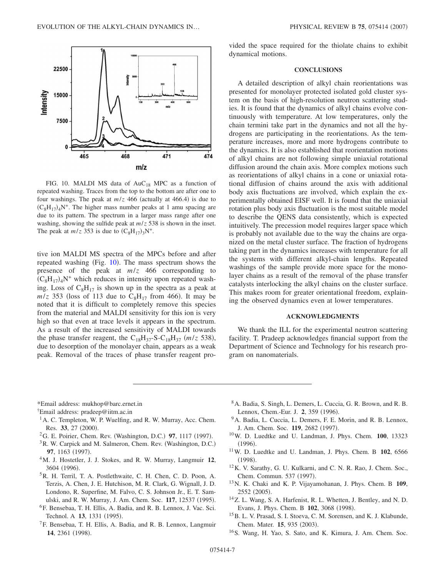<span id="page-6-14"></span>

FIG. 10. MALDI MS data of  $AuC_{18}$  MPC as a function of repeated washing. Traces from the top to the bottom are after one to four washings. The peak at  $m/z$  466 (actually at 466.4) is due to  $(C_8H_{17})_4N^+$ . The higher mass number peaks at 1 amu spacing are due to its pattern. The spectrum in a larger mass range after one washing, showing the sulfide peak at *m*/*z* 538 is shown in the inset. The peak at  $m/z$  353 is due to  $(C_8H_{17})_3N^+$ .

tive ion MALDI MS spectra of the MPCs before and after repeated washing (Fig. [10](#page-6-14)). The mass spectrum shows the presence of the peak at *m*/*z* 466 corresponding to  $(C_8H_{17})_4N^+$  which reduces in intensity upon repeated washing. Loss of  $C_8H_{17}$  is shown up in the spectra as a peak at  $m/z$  353 (loss of 113 due to  $C_8H_{17}$  from 466). It may be noted that it is difficult to completely remove this species from the material and MALDI sensitivity for this ion is very high so that even at trace levels it appears in the spectrum. As a result of the increased sensitivity of MALDI towards the phase transfer reagent, the  $C_{18}H_{37}$ -S- $C_{18}H_{37}$  *(m/z* 538), due to desorption of the monolayer chain, appears as a weak peak. Removal of the traces of phase transfer reagent provided the space required for the thiolate chains to exhibit dynamical motions.

#### **CONCLUSIONS**

A detailed description of alkyl chain reorientations was presented for monolayer protected isolated gold cluster system on the basis of high-resolution neutron scattering studies. It is found that the dynamics of alkyl chains evolve continuously with temperature. At low temperatures, only the chain termini take part in the dynamics and not all the hydrogens are participating in the reorientations. As the temperature increases, more and more hydrogens contribute to the dynamics. It is also established that reorientation motions of alkyl chains are not following simple uniaxial rotational diffusion around the chain axis. More complex motions such as reorientations of alkyl chains in a cone or uniaxial rotational diffusion of chains around the axis with additional body axis fluctuations are involved, which explain the experimentally obtained EISF well. It is found that the uniaxial rotation plus body axis fluctuation is the most suitable model to describe the QENS data consistently, which is expected intuitively. The precession model requires larger space which is probably not available due to the way the chains are organized on the metal cluster surface. The fraction of hydrogens taking part in the dynamics increases with temperature for all the systems with different alkyl-chain lengths. Repeated washings of the sample provide more space for the monolayer chains as a result of the removal of the phase transfer catalysts interlocking the alkyl chains on the cluster surface. This makes room for greater orientational freedom, explaining the observed dynamics even at lower temperatures.

### **ACKNOWLEDGMENTS**

We thank the ILL for the experimental neutron scattering facility. T. Pradeep acknowledges financial support from the Department of Science and Technology for his research program on nanomaterials.

<span id="page-6-0"></span>\*Email address: mukhop@barc.ernet.in

- <span id="page-6-1"></span>†Email address: pradeep@iitm.ac.in
- <span id="page-6-2"></span><sup>1</sup> A. C. Templeton, W. P. Wuelfing, and R. W. Murray, Acc. Chem. Res. 33, 27 (2000).
- <span id="page-6-3"></span><sup>2</sup>G. E. Poirier, Chem. Rev. (Washington, D.C.) 97, 1117 (1997).
- <span id="page-6-4"></span><sup>3</sup>R. W. Carpick and M. Salmeron, Chem. Rev. (Washington, D.C.) **97**, 1163 (1997).
- <span id="page-6-5"></span>4M. J. Hostetler, J. J. Stokes, and R. W. Murray, Langmuir **12**, 3604 (1996).
- 5R. H. Terril, T. A. Postlethwaite, C. H. Chen, C. D. Poon, A. Terzis, A. Chen, J. E. Hutchison, M. R. Clark, G. Wignall, J. D. Londono, R. Superfine, M. Falvo, C. S. Johnson Jr., E. T. Samulski, and R. W. Murray, J. Am. Chem. Soc. 117, 12537 (1995).
- 6F. Bensebaa, T. H. Ellis, A. Badia, and R. B. Lennox, J. Vac. Sci. Technol. A 13, 1331 (1995).
- 7F. Bensebaa, T. H. Ellis, A. Badia, and R. B. Lennox, Langmuir 14, 2361 (1998).
- <span id="page-6-13"></span>8A. Badia, S. Singh, L. Demers, L. Cuccia, G. R. Brown, and R. B. Lennox, Chem.-Eur. J. 2, 359 (1996).
- <span id="page-6-6"></span>9A. Badia, L. Cuccia, L. Demers, F. E. Morin, and R. B. Lennox, J. Am. Chem. Soc. 119, 2682 (1997).
- <span id="page-6-7"></span>10W. D. Luedtke and U. Landman, J. Phys. Chem. **100**, 13323  $(1996).$
- <span id="page-6-8"></span>11W. D. Luedtke and U. Landman, J. Phys. Chem. B **102**, 6566  $(1998).$
- <span id="page-6-9"></span>12K. V. Sarathy, G. U. Kulkarni, and C. N. R. Rao, J. Chem. Soc., Chem. Commun. 537 (1997).
- <span id="page-6-12"></span>13N. K. Chaki and K. P. Vijayamohanan, J. Phys. Chem. B **109**, 2552 (2005).
- 14Z. L. Wang, S. A. Harfenist, R. L. Whetten, J. Bentley, and N. D. Evans, J. Phys. Chem. B 102, 3068 (1998).
- <span id="page-6-10"></span>15B. L. V. Prasad, S. I. Stoeva, C. M. Sorensen, and K. J. Klabunde, Chem. Mater. **15**, 935 (2003).
- <span id="page-6-11"></span>16S. Wang, H. Yao, S. Sato, and K. Kimura, J. Am. Chem. Soc.